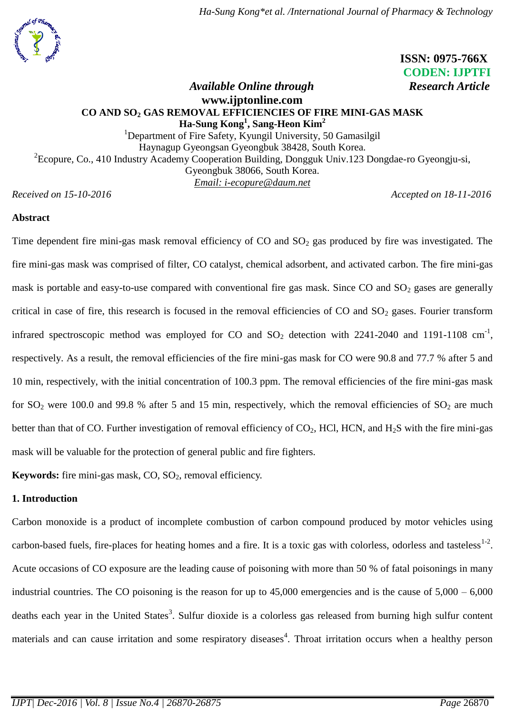

# **ISSN: 0975-766X CODEN: IJPTFI**

# *Available Online through Research Article* **[www.ijptonline.com](http://www.ijptonline.com/) CO AND SO<sup>2</sup> GAS REMOVAL EFFICIENCIES OF FIRE MINI-GAS MASK Ha-Sung Kong<sup>1</sup> , Sang-Heon Kim<sup>2</sup>**

<sup>1</sup>Department of Fire Safety, Kyungil University, 50 Gamasilgil Haynagup Gyeongsan Gyeongbuk 38428, South Korea. <sup>2</sup> Ecopure, Co., 410 Industry Academy Cooperation Building, Dongguk Univ.123 Dongdae-ro Gyeongju-si, Gyeongbuk 38066, South Korea. *Email: [i-ecopure@daum.net](mailto:i-ecopure@daum.net)*

*Received on 15-10-2016 Accepted on 18-11-2016*

# **Abstract**

Time dependent fire mini-gas mask removal efficiency of  $CO$  and  $SO<sub>2</sub>$  gas produced by fire was investigated. The fire mini-gas mask was comprised of filter, CO catalyst, chemical adsorbent, and activated carbon. The fire mini-gas mask is portable and easy-to-use compared with conventional fire gas mask. Since  $CO$  and  $SO<sub>2</sub>$  gases are generally critical in case of fire, this research is focused in the removal efficiencies of  $CO$  and  $SO<sub>2</sub>$  gases. Fourier transform infrared spectroscopic method was employed for CO and  $SO_2$  detection with 2241-2040 and 1191-1108 cm<sup>-1</sup>, respectively. As a result, the removal efficiencies of the fire mini-gas mask for CO were 90.8 and 77.7 % after 5 and 10 min, respectively, with the initial concentration of 100.3 ppm. The removal efficiencies of the fire mini-gas mask for  $SO_2$  were 100.0 and 99.8 % after 5 and 15 min, respectively, which the removal efficiencies of  $SO_2$  are much better than that of CO. Further investigation of removal efficiency of  $CO_2$ , HCl, HCN, and H<sub>2</sub>S with the fire mini-gas mask will be valuable for the protection of general public and fire fighters.

**Keywords:** fire mini-gas mask, CO, SO<sub>2</sub>, removal efficiency.

# **1. Introduction**

Carbon monoxide is a product of incomplete combustion of carbon compound produced by motor vehicles using carbon-based fuels, fire-places for heating homes and a fire. It is a toxic gas with colorless, odorless and tasteless $1-2$ . Acute occasions of CO exposure are the leading cause of poisoning with more than 50 % of fatal poisonings in many industrial countries. The CO poisoning is the reason for up to  $45,000$  emergencies and is the cause of  $5,000 - 6,000$ deaths each year in the United States<sup>3</sup>. Sulfur dioxide is a colorless gas released from burning high sulfur content materials and can cause irritation and some respiratory diseases<sup>4</sup>. Throat irritation occurs when a healthy person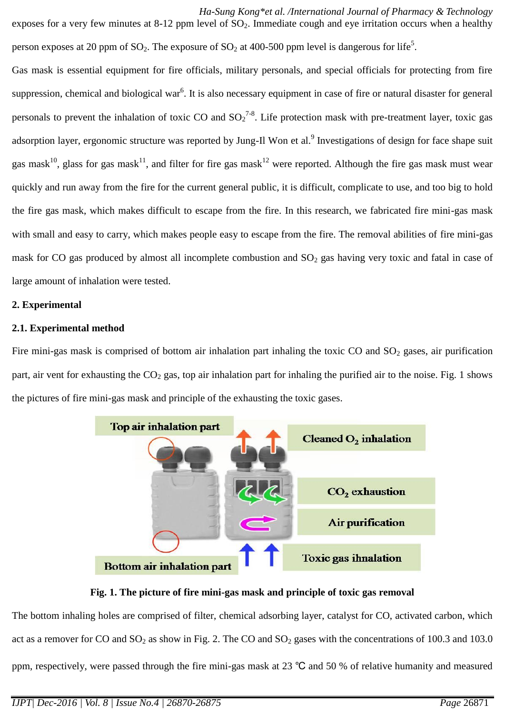*Ha-Sung Kong\*et al. /International Journal of Pharmacy & Technology* exposes for a very few minutes at 8-12 ppm level of  $SO<sub>2</sub>$ . Immediate cough and eye irritation occurs when a healthy person exposes at 20 ppm of SO<sub>2</sub>. The exposure of SO<sub>2</sub> at 400-500 ppm level is dangerous for life<sup>5</sup>. Gas mask is essential equipment for fire officials, military personals, and special officials for protecting from fire

suppression, chemical and biological war<sup>6</sup>. It is also necessary equipment in case of fire or natural disaster for general personals to prevent the inhalation of toxic CO and  ${SO_2}^{7-8}$ . Life protection mask with pre-treatment layer, toxic gas adsorption layer, ergonomic structure was reported by Jung-Il Won et al.<sup>9</sup> Investigations of design for face shape suit gas mask<sup>10</sup>, glass for gas mask<sup>11</sup>, and filter for fire gas mask<sup>12</sup> were reported. Although the fire gas mask must wear quickly and run away from the fire for the current general public, it is difficult, complicate to use, and too big to hold the fire gas mask, which makes difficult to escape from the fire. In this research, we fabricated fire mini-gas mask with small and easy to carry, which makes people easy to escape from the fire. The removal abilities of fire mini-gas mask for CO gas produced by almost all incomplete combustion and  $SO<sub>2</sub>$  gas having very toxic and fatal in case of large amount of inhalation were tested.

# **2. Experimental**

# **2.1. Experimental method**

Fire mini-gas mask is comprised of bottom air inhalation part inhaling the toxic CO and  $SO_2$  gases, air purification part, air vent for exhausting the  $CO<sub>2</sub>$  gas, top air inhalation part for inhaling the purified air to the noise. Fig. 1 shows the pictures of fire mini-gas mask and principle of the exhausting the toxic gases.



# **Fig. 1. The picture of fire mini-gas mask and principle of toxic gas removal**

The bottom inhaling holes are comprised of filter, chemical adsorbing layer, catalyst for CO, activated carbon, which act as a remover for CO and  $SO_2$  as show in Fig. 2. The CO and  $SO_2$  gases with the concentrations of 100.3 and 103.0 ppm, respectively, were passed through the fire mini-gas mask at 23 ℃ and 50 % of relative humanity and measured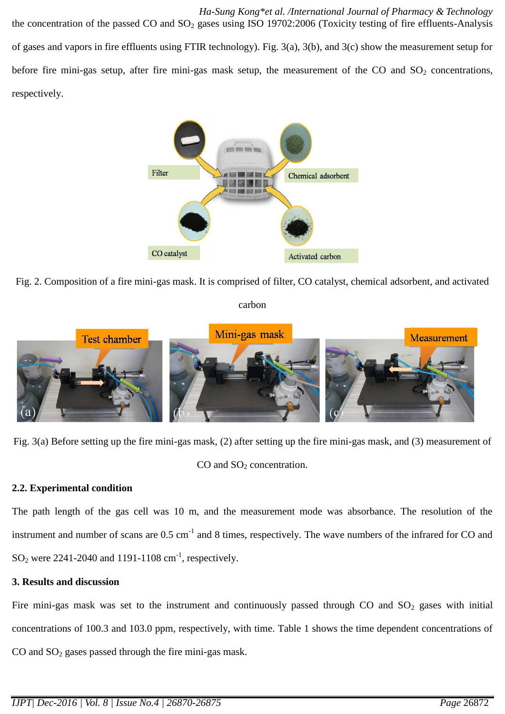*Ha-Sung Kong\*et al. /International Journal of Pharmacy & Technology* the concentration of the passed CO and  $SO_2$  gases using ISO 19702:2006 (Toxicity testing of fire effluents-Analysis of gases and vapors in fire effluents using FTIR technology). Fig. 3(a), 3(b), and 3(c) show the measurement setup for before fire mini-gas setup, after fire mini-gas mask setup, the measurement of the CO and  $SO_2$  concentrations, respectively.



Fig. 2. Composition of a fire mini-gas mask. It is comprised of filter, CO catalyst, chemical adsorbent, and activated

### carbon



Fig. 3(a) Before setting up the fire mini-gas mask, (2) after setting up the fire mini-gas mask, and (3) measurement of

CO and SO<sub>2</sub> concentration.

## **2.2. Experimental condition**

The path length of the gas cell was 10 m, and the measurement mode was absorbance. The resolution of the instrument and number of scans are  $0.5 \text{ cm}^{-1}$  and 8 times, respectively. The wave numbers of the infrared for CO and  $SO_2$  were 2241-2040 and 1191-1108 cm<sup>-1</sup>, respectively.

## **3. Results and discussion**

Fire mini-gas mask was set to the instrument and continuously passed through CO and  $SO<sub>2</sub>$  gases with initial concentrations of 100.3 and 103.0 ppm, respectively, with time. Table 1 shows the time dependent concentrations of CO and  $SO<sub>2</sub>$  gases passed through the fire mini-gas mask.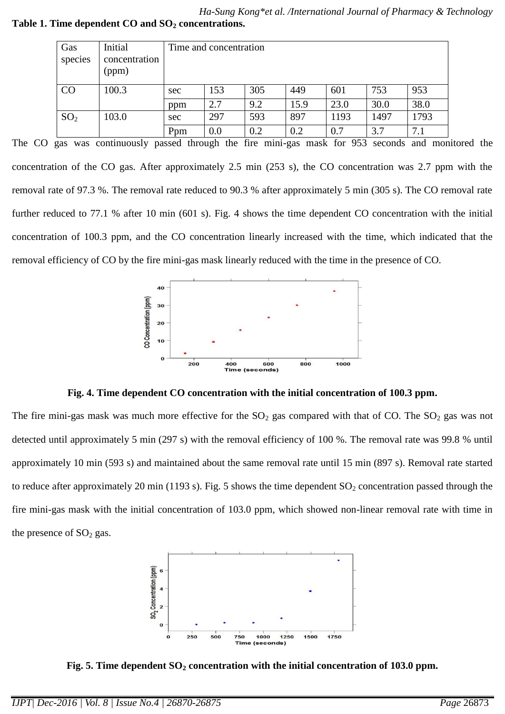*Ha-Sung Kong\*et al. /International Journal of Pharmacy & Technology* **Table 1. Time dependent CO and SO<sup>2</sup> concentrations.**

| Gas             | Initial                | Time and concentration |     |     |      |      |      |      |
|-----------------|------------------------|------------------------|-----|-----|------|------|------|------|
| species         | concentration<br>(ppm) |                        |     |     |      |      |      |      |
|                 |                        |                        |     |     |      |      |      |      |
| CO              | 100.3                  | sec                    | 153 | 305 | 449  | 601  | 753  | 953  |
|                 |                        | ppm                    | 2.7 | 9.2 | 15.9 | 23.0 | 30.0 | 38.0 |
| SO <sub>2</sub> | 103.0                  | sec                    | 297 | 593 | 897  | 1193 | 1497 | 1793 |
|                 |                        | Ppm                    | 0.0 | 0.2 | 0.2  | 0.7  | 3.7  | 7.1  |

The CO gas was continuously passed through the fire mini-gas mask for 953 seconds and monitored the concentration of the CO gas. After approximately 2.5 min (253 s), the CO concentration was 2.7 ppm with the removal rate of 97.3 %. The removal rate reduced to 90.3 % after approximately 5 min (305 s). The CO removal rate further reduced to 77.1 % after 10 min (601 s). Fig. 4 shows the time dependent CO concentration with the initial concentration of 100.3 ppm, and the CO concentration linearly increased with the time, which indicated that the removal efficiency of CO by the fire mini-gas mask linearly reduced with the time in the presence of CO.



**Fig. 4. Time dependent CO concentration with the initial concentration of 100.3 ppm.**

The fire mini-gas mask was much more effective for the  $SO_2$  gas compared with that of CO. The  $SO_2$  gas was not detected until approximately 5 min (297 s) with the removal efficiency of 100 %. The removal rate was 99.8 % until approximately 10 min (593 s) and maintained about the same removal rate until 15 min (897 s). Removal rate started to reduce after approximately 20 min (1193 s). Fig. 5 shows the time dependent  $SO_2$  concentration passed through the fire mini-gas mask with the initial concentration of 103.0 ppm, which showed non-linear removal rate with time in the presence of  $SO<sub>2</sub>$  gas.



**Fig. 5. Time dependent SO<sup>2</sup> concentration with the initial concentration of 103.0 ppm.**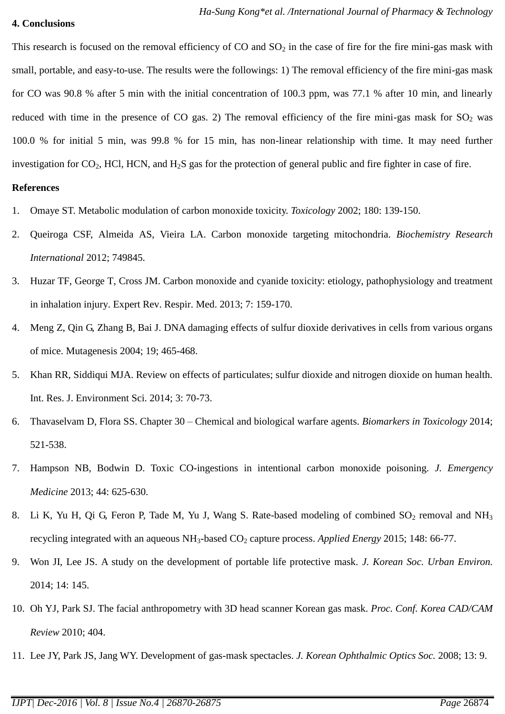### **4. Conclusions**

This research is focused on the removal efficiency of CO and  $SO<sub>2</sub>$  in the case of fire for the fire mini-gas mask with small, portable, and easy-to-use. The results were the followings: 1) The removal efficiency of the fire mini-gas mask for CO was 90.8 % after 5 min with the initial concentration of 100.3 ppm, was 77.1 % after 10 min, and linearly reduced with time in the presence of CO gas. 2) The removal efficiency of the fire mini-gas mask for  $SO_2$  was 100.0 % for initial 5 min, was 99.8 % for 15 min, has non-linear relationship with time. It may need further investigation for  $CO_2$ , HCl, HCN, and H<sub>2</sub>S gas for the protection of general public and fire fighter in case of fire.

### **References**

- 1. Omaye ST. Metabolic modulation of carbon monoxide toxicity. *Toxicology* 2002; 180: 139-150.
- 2. Queiroga CSF, Almeida AS, Vieira LA. Carbon monoxide targeting mitochondria. *Biochemistry Research International* 2012; 749845.
- 3. Huzar TF, George T, Cross JM. Carbon monoxide and cyanide toxicity: etiology, pathophysiology and treatment in inhalation injury. Expert Rev. Respir. Med. 2013; 7: 159-170.
- 4. Meng Z, Qin G, Zhang B, Bai J. DNA damaging effects of sulfur dioxide derivatives in cells from various organs of mice. Mutagenesis 2004; 19; 465-468.
- 5. Khan RR, Siddiqui MJA. Review on effects of particulates; sulfur dioxide and nitrogen dioxide on human health. Int. Res. J. Environment Sci. 2014; 3: 70-73.
- 6. Thavaselvam D, Flora SS. Chapter 30 Chemical and biological warfare agents. *Biomarkers in Toxicology* 2014; 521-538.
- 7. Hampson NB, Bodwin D. Toxic CO-ingestions in intentional carbon monoxide poisoning. *J. Emergency Medicine* 2013; 44: 625-630.
- 8. Li K, Yu H, Qi G, Feron P, Tade M, Yu J, Wang S. Rate-based modeling of combined  $SO_2$  removal and NH<sub>3</sub> recycling integrated with an aqueous NH<sub>3</sub>-based CO<sub>2</sub> capture process. *Applied Energy* 2015; 148: 66-77.
- 9. Won JI, Lee JS. A study on the development of portable life protective mask. *J. Korean Soc. Urban Environ.* 2014; 14: 145.
- 10. Oh YJ, Park SJ. The facial anthropometry with 3D head scanner Korean gas mask. *Proc. Conf. Korea CAD/CAM Review* 2010; 404.
- 11. Lee JY, Park JS, Jang WY. Development of gas-mask spectacles. *J. Korean Ophthalmic Optics Soc.* 2008; 13: 9.